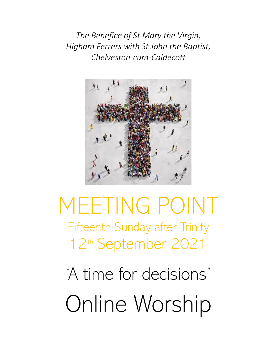*The Benefice of St Mary the Virgin, Higham Ferrers with St John the Baptist, Chelveston-cum-Caldecott*



# MEETING POINT Fifteenth Sunday after Trinity 12th September 2021

'A time for decisions' Online Worship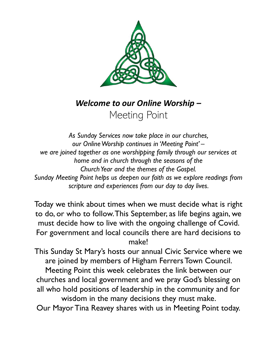

*Welcome to our Online Worship –* Meeting Point

*As Sunday Services now take place in our churches, our Online Worship continues in 'Meeting Point' – we are joined together as one worshipping family through our services at home and in church through the seasons of the Church Year and the themes of the Gospel. Sunday Meeting Point helps us deepen our faith as we explore readings from scripture and experiences from our day to day lives.*

Today we think about times when we must decide what is right to do, or who to follow.This September, as life begins again, we must decide how to live with the ongoing challenge of Covid. For government and local councils there are hard decisions to make!

This Sunday St Mary's hosts our annual Civic Service where we are joined by members of Higham Ferrers Town Council.

Meeting Point this week celebrates the link between our churches and local government and we pray God's blessing on all who hold positions of leadership in the community and for wisdom in the many decisions they must make.

Our Mayor Tina Reavey shares with us in Meeting Point today.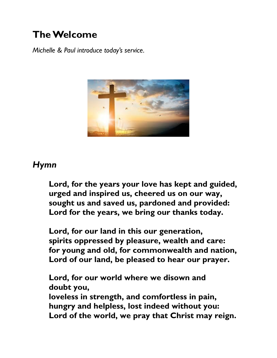## **The Welcome**

*Michelle & Paul introduce today's service.*



## *Hymn*

**Lord, for the years your love has kept and guided, urged and inspired us, cheered us on our way, sought us and saved us, pardoned and provided: Lord for the years, we bring our thanks today.**

**Lord, for our land in this our generation, spirits oppressed by pleasure, wealth and care: for young and old, for commonwealth and nation, Lord of our land, be pleased to hear our prayer.**

**Lord, for our world where we disown and doubt you, loveless in strength, and comfortless in pain, hungry and helpless, lost indeed without you: Lord of the world, we pray that Christ may reign.**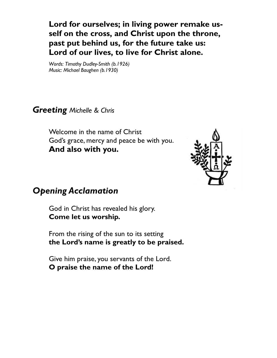**Lord for ourselves; in living power remake usself on the cross, and Christ upon the throne, past put behind us, for the future take us: Lord of our lives, to live for Christ alone.**

*Words: Timothy Dudley-Smith (b.1926) Music: Michael Baughen (b.1930)*

*Greeting Michelle & Chris*

Welcome in the name of Christ God's grace, mercy and peace be with you. **And also with you.**



#### *Opening Acclamation*

God in Christ has revealed his glory. **Come let us worship.**

From the rising of the sun to its setting **the Lord's name is greatly to be praised.**

Give him praise, you servants of the Lord. **O praise the name of the Lord!**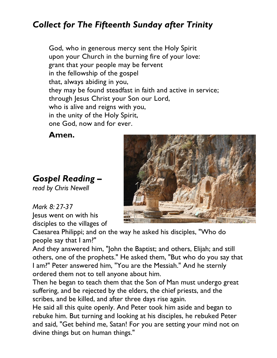## *Collect for The Fifteenth Sunday after Trinity*

God, who in generous mercy sent the Holy Spirit upon your Church in the burning fire of your love: grant that your people may be fervent in the fellowship of the gospel that, always abiding in you, they may be found steadfast in faith and active in service; through Jesus Christ your Son our Lord, who is alive and reigns with you, in the unity of the Holy Spirit, one God, now and for ever.

**Amen.**

## *Gospel Reading –*

*read by Chris Newell*

## *Mark 8: 27-37*

Jesus went on with his disciples to the villages of



Caesarea Philippi; and on the way he asked his disciples, "Who do people say that I am?"

And they answered him, "John the Baptist; and others, Elijah; and still others, one of the prophets." He asked them, "But who do you say that I am?" Peter answered him, "You are the Messiah." And he sternly ordered them not to tell anyone about him.

Then he began to teach them that the Son of Man must undergo great suffering, and be rejected by the elders, the chief priests, and the scribes, and be killed, and after three days rise again.

He said all this quite openly. And Peter took him aside and began to rebuke him. But turning and looking at his disciples, he rebuked Peter and said, "Get behind me, Satan! For you are setting your mind not on divine things but on human things."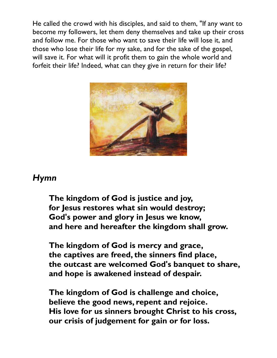He called the crowd with his disciples, and said to them, "If any want to become my followers, let them deny themselves and take up their cross and follow me. For those who want to save their life will lose it, and those who lose their life for my sake, and for the sake of the gospel, will save it. For what will it profit them to gain the whole world and forfeit their life? Indeed, what can they give in return for their life?



#### *Hymn*

**The kingdom of God is justice and joy, for Jesus restores what sin would destroy; God's power and glory in Jesus we know, and here and hereafter the kingdom shall grow.** 

**The kingdom of God is mercy and grace, the captives are freed, the sinners find place, the outcast are welcomed God's banquet to share, and hope is awakened instead of despair.** 

**The kingdom of God is challenge and choice, believe the good news, repent and rejoice. His love for us sinners brought Christ to his cross, our crisis of judgement for gain or for loss.**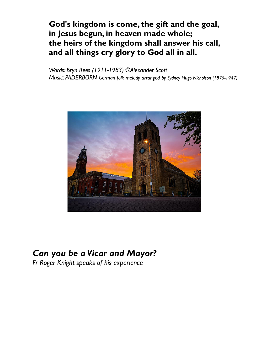#### **God's kingdom is come, the gift and the goal, in Jesus begun, in heaven made whole; the heirs of the kingdom shall answer his call, and all things cry glory to God all in all.**

*Words: Bryn Rees (1911-1983) ©Alexander Scott Music: PADERBORN German folk melody arranged by Sydney Hugo Nicholson (1875-1947)*



## *Can you be a Vicar and Mayor?*

*Fr Roger Knight speaks of his experience*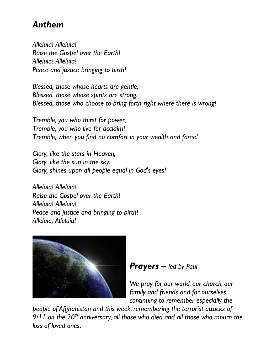## *Anthem*

*Alleluia! Alleluia! Raise the Gospel over the Earth! Alleluia! Alleluia! Peace and justice bringing to birth!*

*Blessed, those whose hearts are gentle, Blessed, those whose spirits are strong. Blessed, those who choose to bring forth right where there is wrong!*

*Tremble, you who thirst for power, Tremble, you who live for acclaim! Tremble, when you find no comfort in your wealth and fame!*

*Glory, like the stars in Heaven, Glory, like the sun in the sky. Glory, shines upon all people equal in God's eyes!*

*Alleluia! Alleluia! Raise the Gospel over the Earth! Alleluia! Alleluia! Peace and justice and bringing to birth! Alleluia, Alleluia!*



#### *Prayers – led by Paul*

*We pray for our world, our church, our family and friends and for ourselves, continuing to remember especially the* 

*people of Afghanistan and this week, remembering the terrorist attacks of 9/11 on the 20th anniversary, all those who died and all those who mourn the loss of loved ones.*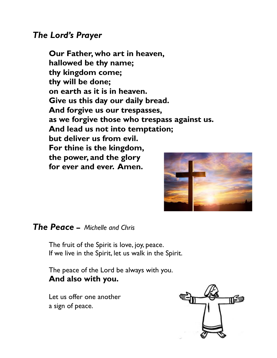#### *The Lord's Prayer*

**Our Father, who art in heaven, hallowed be thy name; thy kingdom come; thy will be done; on earth as it is in heaven. Give us this day our daily bread. And forgive us our trespasses, as we forgive those who trespass against us. And lead us not into temptation; but deliver us from evil. For thine is the kingdom, the power, and the glory for ever and ever. Amen.**



#### *The Peace* **–** *Michelle and Chris*

The fruit of the Spirit is love, joy, peace. If we live in the Spirit, let us walk in the Spirit.

The peace of the Lord be always with you. **And also with you.**

Let us offer one another a sign of peace.

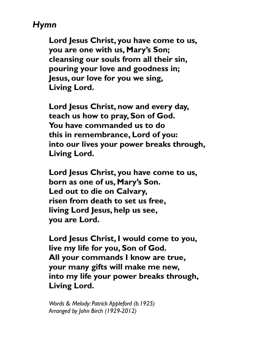## *Hymn*

**Lord Jesus Christ, you have come to us, you are one with us, Mary's Son; cleansing our souls from all their sin, pouring your love and goodness in; Jesus, our love for you we sing, Living Lord.**

**Lord Jesus Christ, now and every day, teach us how to pray, Son of God. You have commanded us to do this in remembrance, Lord of you: into our lives your power breaks through, Living Lord.**

**Lord Jesus Christ, you have come to us, born as one of us, Mary's Son. Led out to die on Calvary, risen from death to set us free, living Lord Jesus, help us see, you are Lord.**

**Lord Jesus Christ, I would come to you, live my life for you, Son of God. All your commands I know are true, your many gifts will make me new, into my life your power breaks through, Living Lord.**

*Words & Melody: Patrick Appleford (b.1925) Arranged by John Birch (1929-2012)*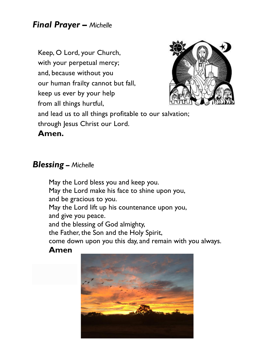### *Final Prayer – Michelle*

Keep, O Lord, your Church, with your perpetual mercy; and, because without you our human frailty cannot but fall, keep us ever by your help from all things hurtful,



and lead us to all things profitable to our salvation; through Jesus Christ our Lord.

**Amen.**

#### *Blessing* **–** *Michelle*

May the Lord bless you and keep you. May the Lord make his face to shine upon you, and be gracious to you. May the Lord lift up his countenance upon you, and give you peace. and the blessing of God almighty, the Father, the Son and the Holy Spirit, come down upon you this day, and remain with you always.

#### **Amen**